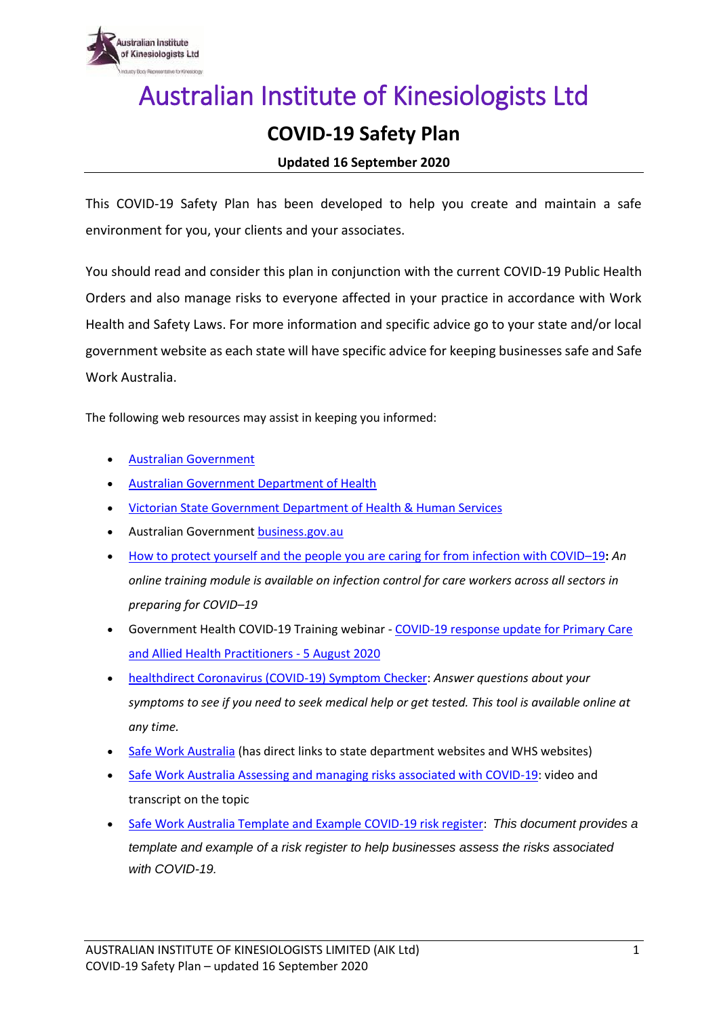

## Australian Institute of Kinesiologists Ltd

## **COVID-19 Safety Plan**

## **Updated 16 September 2020**

This COVID-19 Safety Plan has been developed to help you create and maintain a safe environment for you, your clients and your associates.

You should read and consider this plan in conjunction with the current COVID-19 Public Health Orders and also manage risks to everyone affected in your practice in accordance with Work Health and Safety Laws. For more information and specific advice go to your state and/or local government website as each state will have specific advice for keeping businesses safe and Safe Work Australia.

The following web resources may assist in keeping you informed:

- [Australian Government](https://www.australia.gov.au/)
- [Australian Government](http://www.health.gov.au/) Department of Health
- [Victorian State Government Department of Health & Human Services](https://www.dhhs.vic.gov.au/coronavirus)
- **Australian Government [business.gov.au](https://www.business.gov.au/risk-management/emergency-management/coronavirus-information-and-support-for-business)**
- [How to protect yourself and the people you are caring for from infection with COVID](https://www.health.gov.au/news/how-to-protect-yourself-and-the-people-you-are-caring-for-from-infection-with-covid-19)–19**:** *An online training module is available on infection control for care workers across all sectors in preparing for COVID–19*
- Government Health COVID-19 Training webinar [COVID-19 response update for Primary Care](https://publish.viostream.com/app/s-n7c8q9u?fbclid=IwAR0eYhQ-j_7UbAlm5U1MbC4jKc1LRVYzbRXh49HcOZDlE7ax35AV36BNqLs)  [and Allied Health Practitioners -](https://publish.viostream.com/app/s-n7c8q9u?fbclid=IwAR0eYhQ-j_7UbAlm5U1MbC4jKc1LRVYzbRXh49HcOZDlE7ax35AV36BNqLs) 5 August 2020
- [healthdirect Coronavirus \(COVID-19\) Symptom Checker:](https://www.healthdirect.gov.au/symptom-checker/tool/basic-details) *Answer questions about your symptoms to see if you need to seek medical help or get tested. This tool is available online at any time.*
- [Safe Work Australia](https://www.safeworkaustralia.gov.au/) (has direct links to state department websites and WHS websites)
- [Safe Work Australia Assessing and managing risks associated with COVID-19:](https://www.safeworkaustralia.gov.au/media-centre/assessing-and-managing-risks) video and transcript on the topic
- [Safe Work Australia Template and Example COVID-19 risk register:](https://www.safeworkaustralia.gov.au/doc/template-and-example-covid-19-risk-register) *This document provides a template and example of a risk register to help businesses assess the risks associated with COVID-19.*